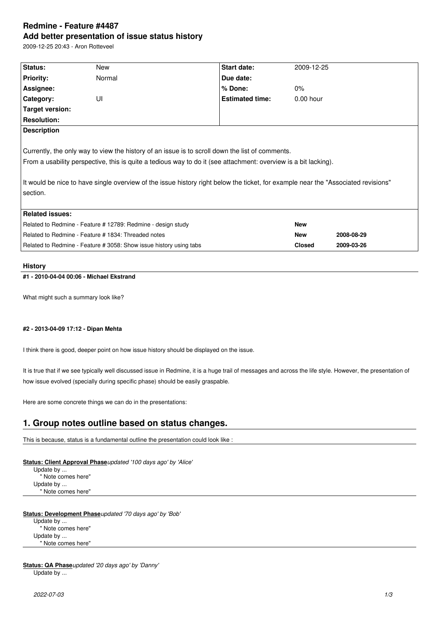# **Redmine - Feature #4487 Add better presentation of issue status history**

2009-12-25 20:43 - Aron Rotteveel

| Status:                                                                                                                           | New    | Start date:            | 2009-12-25    |            |
|-----------------------------------------------------------------------------------------------------------------------------------|--------|------------------------|---------------|------------|
| <b>Priority:</b>                                                                                                                  | Normal | Due date:              |               |            |
| Assignee:                                                                                                                         |        | % Done:                | $0\%$         |            |
|                                                                                                                                   | UI     | <b>Estimated time:</b> | $0.00$ hour   |            |
| Category:                                                                                                                         |        |                        |               |            |
| Target version:                                                                                                                   |        |                        |               |            |
| <b>Resolution:</b>                                                                                                                |        |                        |               |            |
| <b>Description</b>                                                                                                                |        |                        |               |            |
|                                                                                                                                   |        |                        |               |            |
| Currently, the only way to view the history of an issue is to scroll down the list of comments.                                   |        |                        |               |            |
| From a usability perspective, this is quite a tedious way to do it (see attachment: overview is a bit lacking).                   |        |                        |               |            |
|                                                                                                                                   |        |                        |               |            |
|                                                                                                                                   |        |                        |               |            |
| It would be nice to have single overview of the issue history right below the ticket, for example near the "Associated revisions" |        |                        |               |            |
| section.                                                                                                                          |        |                        |               |            |
|                                                                                                                                   |        |                        |               |            |
| <b>Related issues:</b>                                                                                                            |        |                        |               |            |
| Related to Redmine - Feature # 12789: Redmine - design study                                                                      |        |                        | <b>New</b>    |            |
| Related to Redmine - Feature # 1834: Threaded notes                                                                               |        |                        | <b>New</b>    | 2008-08-29 |
| Related to Redmine - Feature # 3058: Show issue history using tabs                                                                |        |                        | <b>Closed</b> | 2009-03-26 |
|                                                                                                                                   |        |                        |               |            |

#### **History**

## **#1 - 2010-04-04 00:06 - Michael Ekstrand**

What might such a summary look like?

#### **#2 - 2013-04-09 17:12 - Dipan Mehta**

I think there is good, deeper point on how issue history should be displayed on the issue.

It is true that if we see typically well discussed issue in Redmine, it is a huge trail of messages and across the life style. However, the presentation of how issue evolved (specially during specific phase) should be easily graspable.

Here are some concrete things we can do in the presentations:

## **1. Group notes outline based on status changes.**

This is because, status is a fundamental outline the presentation could look like :

**Status: Client Approval Phase***updated '100 days ago' by 'Alice'*

Update by ... " Note comes here" Update by ... " Note comes here"

## **Status: Development Phase***updated '70 days ago' by 'Bob'*

Update by ... " Note comes here" Update by ... " Note comes here"

**Status: QA Phase***updated '20 days ago' by 'Danny'* Update by ...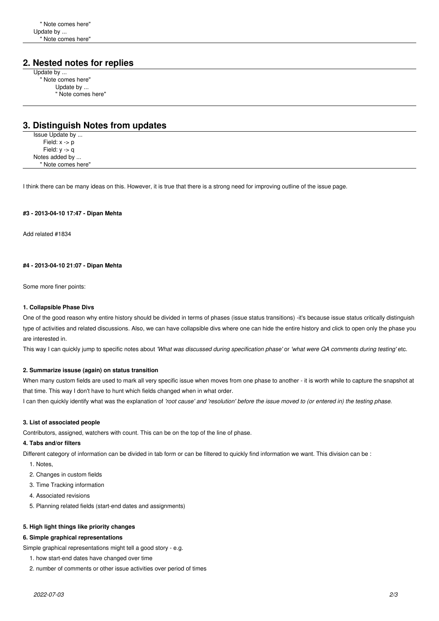## **2. Nested notes for replies**

Update by ... " Note comes here" Update by ... " Note comes here"

## **3. Distinguish Notes from updates**

Issue Update by ... Field: x -> p Field:  $y -q$ Notes added by ... " Note comes here"

I think there can be many ideas on this. However, it is true that there is a strong need for improving outline of the issue page.

#### **#3 - 2013-04-10 17:47 - Dipan Mehta**

Add related #1834

#### **#4 - 2013-04-10 21:07 - Dipan Mehta**

Some more finer points:

#### **1. Collapsible Phase Divs**

One of the good reason why entire history should be divided in terms of phases (issue status transitions) -it's because issue status critically distinguish type of activities and related discussions. Also, we can have collapsible divs where one can hide the entire history and click to open only the phase you are interested in.

This way I can quickly jump to specific notes about *'What was discussed during specification phase'* or *'what were QA comments during testing'* etc.

#### **2. Summarize issuse (again) on status transition**

When many custom fields are used to mark all very specific issue when moves from one phase to another - it is worth while to capture the snapshot at that time. This way I don't have to hunt which fields changed when in what order.

I can then quickly identify what was the explanation of *'root cause' and 'resolution' before the issue moved to (or entered in) the testing phase*.

#### **3. List of associated people**

Contributors, assigned, watchers with count. This can be on the top of the line of phase.

#### **4. Tabs and/or filters**

Different category of information can be divided in tab form or can be filtered to quickly find information we want. This division can be :

- 1. Notes,
- 2. Changes in custom fields
- 3. Time Tracking information
- 4. Associated revisions
- 5. Planning related fields (start-end dates and assignments)

#### **5. High light things like priority changes**

#### **6. Simple graphical representations**

Simple graphical representations might tell a good story - e.g.

- 1. how start-end dates have changed over time
- 2. number of comments or other issue activities over period of times